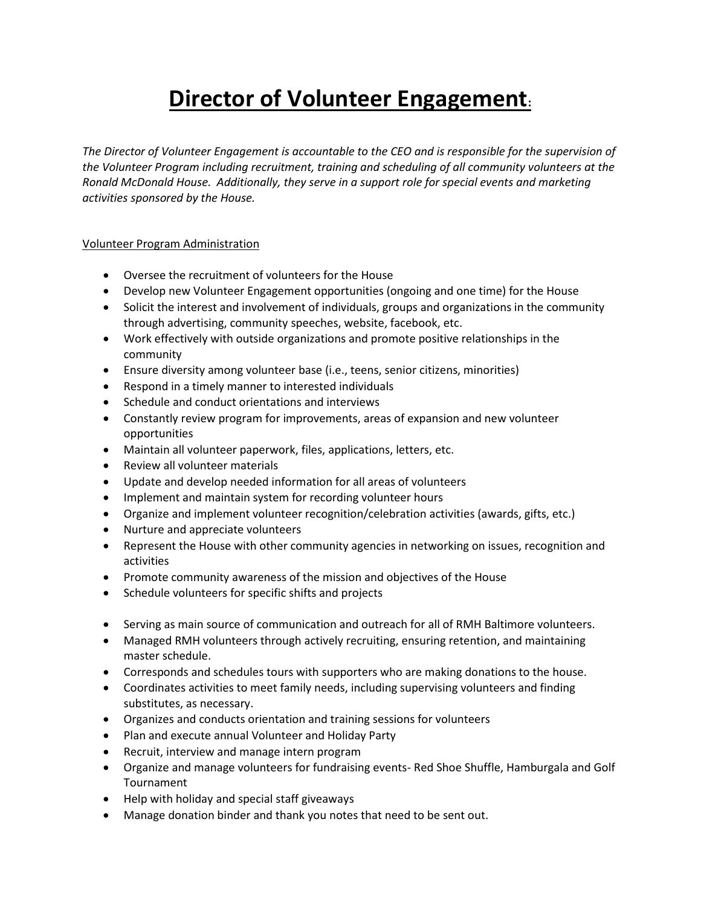## **Director of Volunteer Engagement:**

*The Director of Volunteer Engagement is accountable to the CEO and is responsible for the supervision of the Volunteer Program including recruitment, training and scheduling of all community volunteers at the Ronald McDonald House. Additionally, they serve in a support role for special events and marketing activities sponsored by the House.*

## Volunteer Program Administration

- Oversee the recruitment of volunteers for the House
- Develop new Volunteer Engagement opportunities (ongoing and one time) for the House
- Solicit the interest and involvement of individuals, groups and organizations in the community through advertising, community speeches, website, facebook, etc.
- Work effectively with outside organizations and promote positive relationships in the community
- Ensure diversity among volunteer base (i.e., teens, senior citizens, minorities)
- Respond in a timely manner to interested individuals
- Schedule and conduct orientations and interviews
- Constantly review program for improvements, areas of expansion and new volunteer opportunities
- Maintain all volunteer paperwork, files, applications, letters, etc.
- Review all volunteer materials
- Update and develop needed information for all areas of volunteers
- Implement and maintain system for recording volunteer hours
- Organize and implement volunteer recognition/celebration activities (awards, gifts, etc.)
- Nurture and appreciate volunteers
- Represent the House with other community agencies in networking on issues, recognition and activities
- Promote community awareness of the mission and objectives of the House
- Schedule volunteers for specific shifts and projects
- Serving as main source of communication and outreach for all of RMH Baltimore volunteers.
- Managed RMH volunteers through actively recruiting, ensuring retention, and maintaining master schedule.
- Corresponds and schedules tours with supporters who are making donations to the house.
- Coordinates activities to meet family needs, including supervising volunteers and finding substitutes, as necessary.
- Organizes and conducts orientation and training sessions for volunteers
- Plan and execute annual Volunteer and Holiday Party
- Recruit, interview and manage intern program
- Organize and manage volunteers for fundraising events- Red Shoe Shuffle, Hamburgala and Golf Tournament
- Help with holiday and special staff giveaways
- Manage donation binder and thank you notes that need to be sent out.